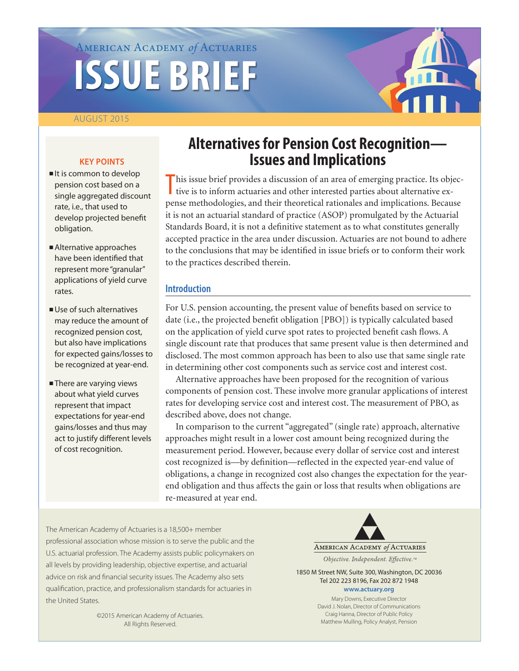# American Academy *of* Actuaries **ISSUE BRIEF**

# AUGUST 2015

#### **KEY POINTS**

- $l$  It is common to develop pension cost based on a single aggregated discount rate, i.e., that used to develop projected benefit obligation.
- <sup>n</sup>Alternative approaches have been identified that represent more "granular" applications of yield curve rates.
- $\blacksquare$  Use of such alternatives may reduce the amount of recognized pension cost, but also have implications for expected gains/losses to be recognized at year-end.
- **n**There are varying views about what yield curves represent that impact expectations for year-end gains/losses and thus may act to justify different levels of cost recognition.

# **Alternatives for Pension Cost Recognition— Issues and Implications**

This issue brief provides a discussion of an area of emerging practice. Its objective is to inform actuaries and other interested parties about alternative extive is to inform actuaries and other interested parties about alternative expense methodologies, and their theoretical rationales and implications. Because it is not an actuarial standard of practice (ASOP) promulgated by the Actuarial Standards Board, it is not a definitive statement as to what constitutes generally accepted practice in the area under discussion. Actuaries are not bound to adhere to the conclusions that may be identified in issue briefs or to conform their work to the practices described therein.

# **Introduction**

For U.S. pension accounting, the present value of benefits based on service to date (i.e., the projected benefit obligation [PBO]) is typically calculated based on the application of yield curve spot rates to projected benefit cash flows. A single discount rate that produces that same present value is then determined and disclosed. The most common approach has been to also use that same single rate in determining other cost components such as service cost and interest cost.

Alternative approaches have been proposed for the recognition of various components of pension cost. These involve more granular applications of interest rates for developing service cost and interest cost. The measurement of PBO, as described above, does not change.

In comparison to the current "aggregated" (single rate) approach, alternative approaches might result in a lower cost amount being recognized during the measurement period. However, because every dollar of service cost and interest cost recognized is—by definition—reflected in the expected year-end value of obligations, a change in recognized cost also changes the expectation for the yearend obligation and thus affects the gain or loss that results when obligations are re-measured at year end.

The American Academy of Actuaries is a 18,500+ member professional association whose mission is to serve the public and the U.S. actuarial profession. The Academy assists public policymakers on all levels by providing leadership, objective expertise, and actuarial advice on risk and financial security issues. The Academy also sets qualification, practice, and professionalism standards for actuaries in the United States.

> ©2015 American Academy of Actuaries. All Rights Reserved.

AMERICAN ACADEMY of ACTUARIES

Objective. Independent. Effective.™

1850 M Street NW, Suite 300, Washington, DC 20036 Tel 202 223 8196, Fax 202 872 1948 **<www.actuary.org>**

> Mary Downs, Executive Director David J. Nolan, Director of Communications Craig Hanna, Director of Public Policy Matthew Mulling, Policy Analyst, Pension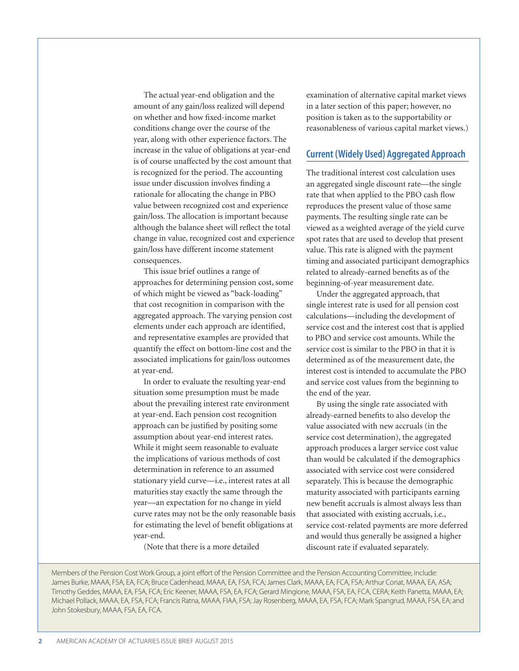The actual year-end obligation and the amount of any gain/loss realized will depend on whether and how fixed-income market conditions change over the course of the year, along with other experience factors. The increase in the value of obligations at year-end is of course unaffected by the cost amount that is recognized for the period. The accounting issue under discussion involves finding a rationale for allocating the change in PBO value between recognized cost and experience gain/loss. The allocation is important because although the balance sheet will reflect the total change in value, recognized cost and experience gain/loss have different income statement consequences.

This issue brief outlines a range of approaches for determining pension cost, some of which might be viewed as "back-loading" that cost recognition in comparison with the aggregated approach. The varying pension cost elements under each approach are identified, and representative examples are provided that quantify the effect on bottom-line cost and the associated implications for gain/loss outcomes at year-end.

In order to evaluate the resulting year-end situation some presumption must be made about the prevailing interest rate environment at year-end. Each pension cost recognition approach can be justified by positing some assumption about year-end interest rates. While it might seem reasonable to evaluate the implications of various methods of cost determination in reference to an assumed stationary yield curve—i.e., interest rates at all maturities stay exactly the same through the year—an expectation for no change in yield curve rates may not be the only reasonable basis for estimating the level of benefit obligations at year-end.

(Note that there is a more detailed

examination of alternative capital market views in a later section of this paper; however, no position is taken as to the supportability or reasonableness of various capital market views.)

#### **Current (Widely Used) Aggregated Approach**

The traditional interest cost calculation uses an aggregated single discount rate—the single rate that when applied to the PBO cash flow reproduces the present value of those same payments. The resulting single rate can be viewed as a weighted average of the yield curve spot rates that are used to develop that present value. This rate is aligned with the payment timing and associated participant demographics related to already-earned benefits as of the beginning-of-year measurement date.

Under the aggregated approach, that single interest rate is used for all pension cost calculations—including the development of service cost and the interest cost that is applied to PBO and service cost amounts. While the service cost is similar to the PBO in that it is determined as of the measurement date, the interest cost is intended to accumulate the PBO and service cost values from the beginning to the end of the year.

By using the single rate associated with already-earned benefits to also develop the value associated with new accruals (in the service cost determination), the aggregated approach produces a larger service cost value than would be calculated if the demographics associated with service cost were considered separately. This is because the demographic maturity associated with participants earning new benefit accruals is almost always less than that associated with existing accruals, i.e., service cost-related payments are more deferred and would thus generally be assigned a higher discount rate if evaluated separately.

Members of the Pension Cost Work Group, a joint effort of the Pension Committee and the Pension Accounting Committee, include: James Burke, MAAA, FSA, EA, FCA; Bruce Cadenhead, MAAA, EA, FSA, FCA; James Clark, MAAA, EA, FCA, FSA; Arthur Conat, MAAA, EA, ASA; Timothy Geddes, MAAA, EA, FSA, FCA; Eric Keener, MAAA, FSA, EA, FCA; Gerard Mingione, MAAA, FSA, EA, FCA, CERA; Keith Panetta, MAAA, EA; Michael Pollack, MAAA, EA, FSA, FCA; Francis Ratna, MAAA, FIAA, FSA; Jay Rosenberg, MAAA, EA, FSA, FCA; Mark Spangrud, MAAA, FSA, EA; and John Stokesbury, MAAA, FSA, EA, FCA.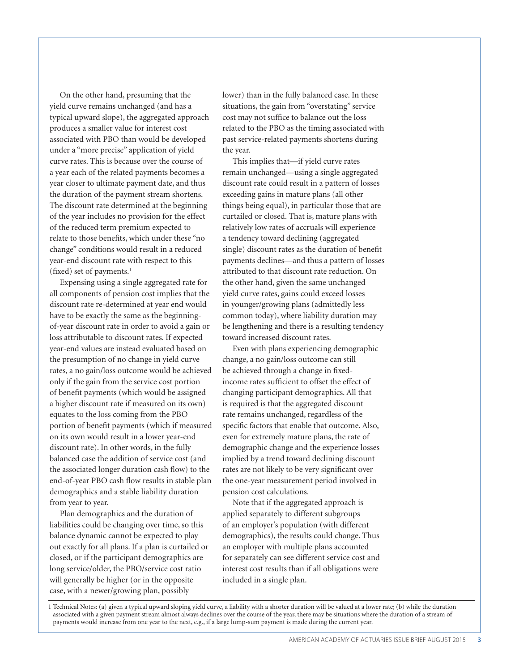On the other hand, presuming that the yield curve remains unchanged (and has a typical upward slope), the aggregated approach produces a smaller value for interest cost associated with PBO than would be developed under a "more precise" application of yield curve rates. This is because over the course of a year each of the related payments becomes a year closer to ultimate payment date, and thus the duration of the payment stream shortens. The discount rate determined at the beginning of the year includes no provision for the effect of the reduced term premium expected to relate to those benefits, which under these "no change" conditions would result in a reduced year-end discount rate with respect to this (fixed) set of payments. $1$ 

Expensing using a single aggregated rate for all components of pension cost implies that the discount rate re-determined at year end would have to be exactly the same as the beginningof-year discount rate in order to avoid a gain or loss attributable to discount rates. If expected year-end values are instead evaluated based on the presumption of no change in yield curve rates, a no gain/loss outcome would be achieved only if the gain from the service cost portion of benefit payments (which would be assigned a higher discount rate if measured on its own) equates to the loss coming from the PBO portion of benefit payments (which if measured on its own would result in a lower year-end discount rate). In other words, in the fully balanced case the addition of service cost (and the associated longer duration cash flow) to the end-of-year PBO cash flow results in stable plan demographics and a stable liability duration from year to year.

Plan demographics and the duration of liabilities could be changing over time, so this balance dynamic cannot be expected to play out exactly for all plans. If a plan is curtailed or closed, or if the participant demographics are long service/older, the PBO/service cost ratio will generally be higher (or in the opposite case, with a newer/growing plan, possibly

lower) than in the fully balanced case. In these situations, the gain from "overstating" service cost may not suffice to balance out the loss related to the PBO as the timing associated with past service-related payments shortens during the year.

This implies that—if yield curve rates remain unchanged—using a single aggregated discount rate could result in a pattern of losses exceeding gains in mature plans (all other things being equal), in particular those that are curtailed or closed. That is, mature plans with relatively low rates of accruals will experience a tendency toward declining (aggregated single) discount rates as the duration of benefit payments declines—and thus a pattern of losses attributed to that discount rate reduction. On the other hand, given the same unchanged yield curve rates, gains could exceed losses in younger/growing plans (admittedly less common today), where liability duration may be lengthening and there is a resulting tendency toward increased discount rates.

Even with plans experiencing demographic change, a no gain/loss outcome can still be achieved through a change in fixedincome rates sufficient to offset the effect of changing participant demographics. All that is required is that the aggregated discount rate remains unchanged, regardless of the specific factors that enable that outcome. Also, even for extremely mature plans, the rate of demographic change and the experience losses implied by a trend toward declining discount rates are not likely to be very significant over the one-year measurement period involved in pension cost calculations.

Note that if the aggregated approach is applied separately to different subgroups of an employer's population (with different demographics), the results could change. Thus an employer with multiple plans accounted for separately can see different service cost and interest cost results than if all obligations were included in a single plan.

1 Technical Notes: (a) given a typical upward sloping yield curve, a liability with a shorter duration will be valued at a lower rate; (b) while the duration associated with a given payment stream almost always declines over the course of the year, there may be situations where the duration of a stream of payments would increase from one year to the next, e.g., if a large lump-sum payment is made during the current year.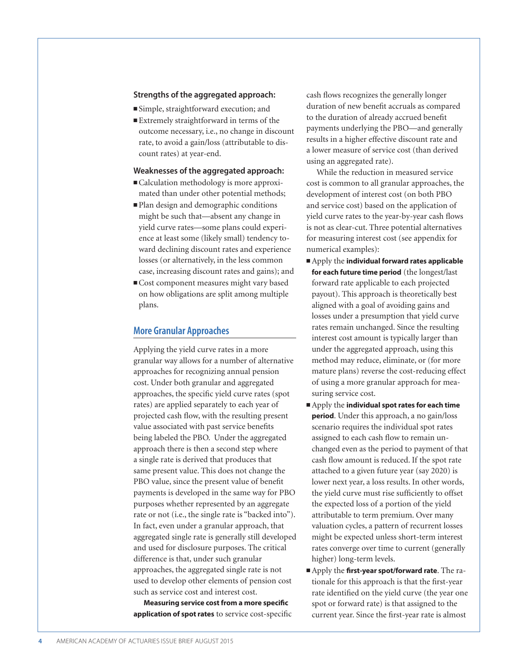#### **Strengths of the aggregated approach:**

■ Simple, straightforward execution; and

■ Extremely straightforward in terms of the outcome necessary, i.e., no change in discount rate, to avoid a gain/loss (attributable to discount rates) at year-end.

#### **Weaknesses of the aggregated approach:**

- Calculation methodology is more approximated than under other potential methods;
- <sup>n</sup>Plan design and demographic conditions might be such that—absent any change in yield curve rates—some plans could experience at least some (likely small) tendency toward declining discount rates and experience losses (or alternatively, in the less common case, increasing discount rates and gains); and
- Cost component measures might vary based on how obligations are split among multiple plans.

#### **More Granular Approaches**

Applying the yield curve rates in a more granular way allows for a number of alternative approaches for recognizing annual pension cost. Under both granular and aggregated approaches, the specific yield curve rates (spot rates) are applied separately to each year of projected cash flow, with the resulting present value associated with past service benefits being labeled the PBO. Under the aggregated approach there is then a second step where a single rate is derived that produces that same present value. This does not change the PBO value, since the present value of benefit payments is developed in the same way for PBO purposes whether represented by an aggregate rate or not (i.e., the single rate is "backed into"). In fact, even under a granular approach, that aggregated single rate is generally still developed and used for disclosure purposes. The critical difference is that, under such granular approaches, the aggregated single rate is not used to develop other elements of pension cost such as service cost and interest cost.

**Measuring service cost from a more specific application of spot rates** to service cost-specific cash flows recognizes the generally longer duration of new benefit accruals as compared to the duration of already accrued benefit payments underlying the PBO—and generally results in a higher effective discount rate and a lower measure of service cost (than derived using an aggregated rate).

While the reduction in measured service cost is common to all granular approaches, the development of interest cost (on both PBO and service cost) based on the application of yield curve rates to the year-by-year cash flows is not as clear-cut. Three potential alternatives for measuring interest cost (see appendix for numerical examples):

- <sup>n</sup>Apply the **individual forward rates applicable for each future time period** (the longest/last forward rate applicable to each projected payout). This approach is theoretically best aligned with a goal of avoiding gains and losses under a presumption that yield curve rates remain unchanged. Since the resulting interest cost amount is typically larger than under the aggregated approach, using this method may reduce, eliminate, or (for more mature plans) reverse the cost-reducing effect of using a more granular approach for measuring service cost.
- <sup>n</sup>Apply the **individual spot rates for each time period**. Under this approach, a no gain/loss scenario requires the individual spot rates assigned to each cash flow to remain unchanged even as the period to payment of that cash flow amount is reduced. If the spot rate attached to a given future year (say 2020) is lower next year, a loss results. In other words, the yield curve must rise sufficiently to offset the expected loss of a portion of the yield attributable to term premium. Over many valuation cycles, a pattern of recurrent losses might be expected unless short-term interest rates converge over time to current (generally higher) long-term levels.
- n Apply the **first-year spot/forward rate**. The rationale for this approach is that the first-year rate identified on the yield curve (the year one spot or forward rate) is that assigned to the current year. Since the first-year rate is almost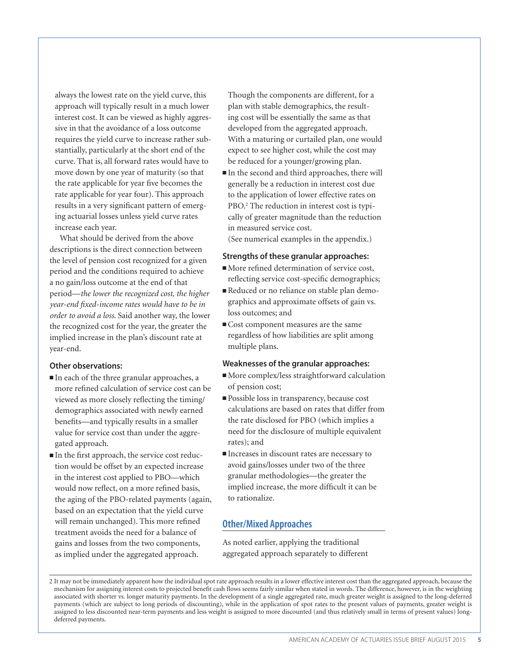always the lowest rate on the yield curve, this approach will typically result in a much lower interest cost. It can be viewed as highly aggressive in that the avoidance of a loss outcome requires the yield curve to increase rather substantially, particularly at the short end of the curve. That is, all forward rates would have to move down by one year of maturity (so that the rate applicable for year five becomes the rate applicable for year four). This approach results in a very significant pattern of emerging actuarial losses unless yield curve rates increase each year.

What should be derived from the above descriptions is the direct connection between the level of pension cost recognized for a given period and the conditions required to achieve a no gain/loss outcome at the end of that period—*the lower the recognized cost, the higher year-end fixed-income rates would have to be in order to avoid a loss*. Said another way, the lower the recognized cost for the year, the greater the implied increase in the plan's discount rate at year-end.

## **Other observations:**

- $\blacksquare$  In each of the three granular approaches, a more refined calculation of service cost can be viewed as more closely reflecting the timing/ demographics associated with newly earned benefits—and typically results in a smaller value for service cost than under the aggregated approach.
- n In the first approach, the service cost reduction would be offset by an expected increase in the interest cost applied to PBO—which would now reflect, on a more refined basis, the aging of the PBO-related payments (again, based on an expectation that the yield curve will remain unchanged). This more refined treatment avoids the need for a balance of gains and losses from the two components, as implied under the aggregated approach.

Though the components are different, for a plan with stable demographics, the resulting cost will be essentially the same as that developed from the aggregated approach. With a maturing or curtailed plan, one would expect to see higher cost, while the cost may be reduced for a younger/growing plan.

 $\blacksquare$  In the second and third approaches, there will generally be a reduction in interest cost due to the application of lower effective rates on PBO.<sup>2</sup> The reduction in interest cost is typically of greater magnitude than the reduction in measured service cost.

(See numerical examples in the appendix.)

#### **Strengths of these granular approaches:**

- $\blacksquare$  More refined determination of service cost, reflecting service cost-specific demographics;
- Reduced or no reliance on stable plan demographics and approximate offsets of gain vs. loss outcomes; and
- Cost component measures are the same regardless of how liabilities are split among multiple plans.

#### **Weaknesses of the granular approaches:**

- More complex/less straightforward calculation of pension cost;
- <sup>n</sup>Possible loss in transparency, because cost calculations are based on rates that differ from the rate disclosed for PBO (which implies a need for the disclosure of multiple equivalent rates); and
- $\blacksquare$  Increases in discount rates are necessary to avoid gains/losses under two of the three granular methodologies—the greater the implied increase, the more difficult it can be to rationalize.

#### **Other/Mixed Approaches**

As noted earlier, applying the traditional aggregated approach separately to different

<sup>2</sup> It may not be immediately apparent how the individual spot rate approach results in a lower effective interest cost than the aggregated approach, because the mechanism for assigning interest costs to projected benefit cash flows seems fairly similar when stated in words. The difference, however, is in the weighting associated with shorter vs. longer maturity payments. In the development of a single aggregated rate, much greater weight is assigned to the long-deferred payments (which are subject to long periods of discounting), while in the application of spot rates to the present values of payments, greater weight is assigned to less discounted near-term payments and less weight is assigned to more discounted (and thus relatively small in terms of present values) longdeferred payments.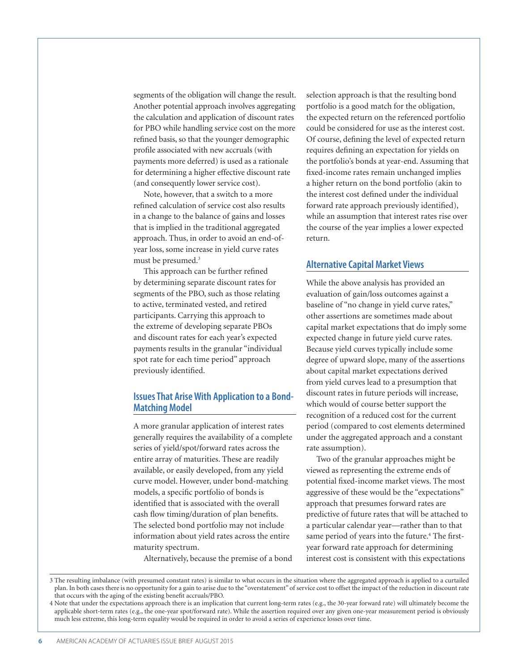segments of the obligation will change the result. Another potential approach involves aggregating the calculation and application of discount rates for PBO while handling service cost on the more refined basis, so that the younger demographic profile associated with new accruals (with payments more deferred) is used as a rationale for determining a higher effective discount rate (and consequently lower service cost).

Note, however, that a switch to a more refined calculation of service cost also results in a change to the balance of gains and losses that is implied in the traditional aggregated approach. Thus, in order to avoid an end-ofyear loss, some increase in yield curve rates must be presumed.<sup>3</sup>

This approach can be further refined by determining separate discount rates for segments of the PBO, such as those relating to active, terminated vested, and retired participants. Carrying this approach to the extreme of developing separate PBOs and discount rates for each year's expected payments results in the granular "individual spot rate for each time period" approach previously identified.

# **Issues That Arise With Application to a Bond-Matching Model**

A more granular application of interest rates generally requires the availability of a complete series of yield/spot/forward rates across the entire array of maturities. These are readily available, or easily developed, from any yield curve model. However, under bond-matching models, a specific portfolio of bonds is identified that is associated with the overall cash flow timing/duration of plan benefits. The selected bond portfolio may not include information about yield rates across the entire maturity spectrum.

Alternatively, because the premise of a bond

selection approach is that the resulting bond portfolio is a good match for the obligation, the expected return on the referenced portfolio could be considered for use as the interest cost. Of course, defining the level of expected return requires defining an expectation for yields on the portfolio's bonds at year-end. Assuming that fixed-income rates remain unchanged implies a higher return on the bond portfolio (akin to the interest cost defined under the individual forward rate approach previously identified), while an assumption that interest rates rise over the course of the year implies a lower expected return.

#### **Alternative Capital Market Views**

While the above analysis has provided an evaluation of gain/loss outcomes against a baseline of "no change in yield curve rates," other assertions are sometimes made about capital market expectations that do imply some expected change in future yield curve rates. Because yield curves typically include some degree of upward slope, many of the assertions about capital market expectations derived from yield curves lead to a presumption that discount rates in future periods will increase, which would of course better support the recognition of a reduced cost for the current period (compared to cost elements determined under the aggregated approach and a constant rate assumption).

Two of the granular approaches might be viewed as representing the extreme ends of potential fixed-income market views. The most aggressive of these would be the "expectations" approach that presumes forward rates are predictive of future rates that will be attached to a particular calendar year—rather than to that same period of years into the future.<sup>4</sup> The firstyear forward rate approach for determining interest cost is consistent with this expectations

<sup>3</sup> The resulting imbalance (with presumed constant rates) is similar to what occurs in the situation where the aggregated approach is applied to a curtailed plan. In both cases there is no opportunity for a gain to arise due to the "overstatement" of service cost to offset the impact of the reduction in discount rate that occurs with the aging of the existing benefit accruals/PBO.

<sup>4</sup> Note that under the expectations approach there is an implication that current long-term rates (e.g., the 30-year forward rate) will ultimately become the applicable short-term rates (e.g., the one-year spot/forward rate). While the assertion required over any given one-year measurement period is obviously much less extreme, this long-term equality would be required in order to avoid a series of experience losses over time.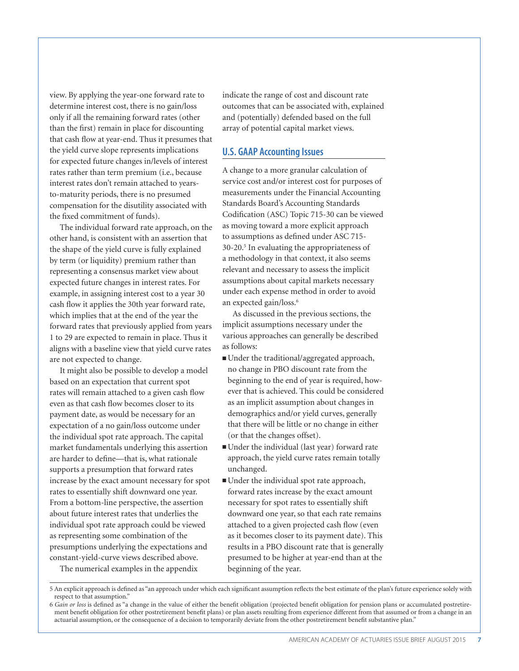view. By applying the year-one forward rate to determine interest cost, there is no gain/loss only if all the remaining forward rates (other than the first) remain in place for discounting that cash flow at year-end. Thus it presumes that the yield curve slope represents implications for expected future changes in/levels of interest rates rather than term premium (i.e., because interest rates don't remain attached to yearsto-maturity periods, there is no presumed compensation for the disutility associated with the fixed commitment of funds).

The individual forward rate approach, on the other hand, is consistent with an assertion that the shape of the yield curve is fully explained by term (or liquidity) premium rather than representing a consensus market view about expected future changes in interest rates. For example, in assigning interest cost to a year 30 cash flow it applies the 30th year forward rate, which implies that at the end of the year the forward rates that previously applied from years 1 to 29 are expected to remain in place. Thus it aligns with a baseline view that yield curve rates are not expected to change.

It might also be possible to develop a model based on an expectation that current spot rates will remain attached to a given cash flow even as that cash flow becomes closer to its payment date, as would be necessary for an expectation of a no gain/loss outcome under the individual spot rate approach. The capital market fundamentals underlying this assertion are harder to define—that is, what rationale supports a presumption that forward rates increase by the exact amount necessary for spot rates to essentially shift downward one year. From a bottom-line perspective, the assertion about future interest rates that underlies the individual spot rate approach could be viewed as representing some combination of the presumptions underlying the expectations and constant-yield-curve views described above.

The numerical examples in the appendix

indicate the range of cost and discount rate outcomes that can be associated with, explained and (potentially) defended based on the full array of potential capital market views.

#### **U.S. GAAP Accounting Issues**

A change to a more granular calculation of service cost and/or interest cost for purposes of measurements under the Financial Accounting Standards Board's Accounting Standards Codification (ASC) Topic 715-30 can be viewed as moving toward a more explicit approach to assumptions as defined under ASC 715- 30-20.5 In evaluating the appropriateness of a methodology in that context, it also seems relevant and necessary to assess the implicit assumptions about capital markets necessary under each expense method in order to avoid an expected gain/loss.6

As discussed in the previous sections, the implicit assumptions necessary under the various approaches can generally be described as follows:

- <sup>n</sup>Under the traditional/aggregated approach, no change in PBO discount rate from the beginning to the end of year is required, however that is achieved. This could be considered as an implicit assumption about changes in demographics and/or yield curves, generally that there will be little or no change in either (or that the changes offset).
- <sup>n</sup>Under the individual (last year) forward rate approach, the yield curve rates remain totally unchanged.
- $\blacksquare$  Under the individual spot rate approach, forward rates increase by the exact amount necessary for spot rates to essentially shift downward one year, so that each rate remains attached to a given projected cash flow (even as it becomes closer to its payment date). This results in a PBO discount rate that is generally presumed to be higher at year-end than at the beginning of the year.

<sup>5</sup> An explicit approach is defined as "an approach under which each significant assumption reflects the best estimate of the plan's future experience solely with respect to that assumption."

<sup>6</sup> *Gain or loss* is defined as "a change in the value of either the benefit obligation (projected benefit obligation for pension plans or accumulated postretirement benefit obligation for other postretirement benefit plans) or plan assets resulting from experience different from that assumed or from a change in an actuarial assumption, or the consequence of a decision to temporarily deviate from the other postretirement benefit substantive plan."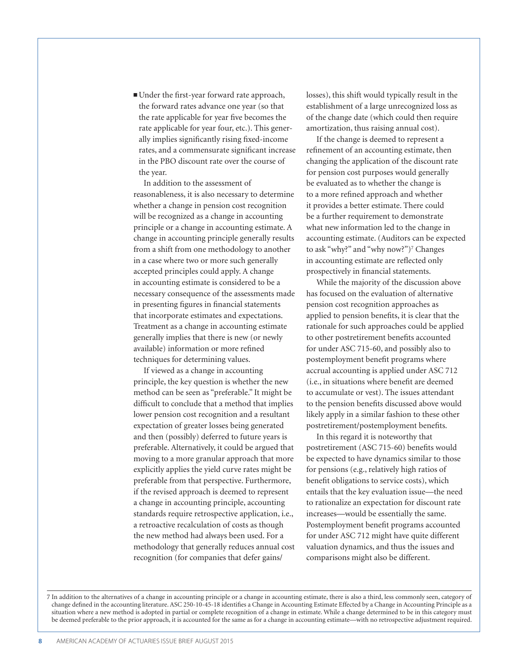<sup>n</sup>Under the first-year forward rate approach, the forward rates advance one year (so that the rate applicable for year five becomes the rate applicable for year four, etc.). This generally implies significantly rising fixed-income rates, and a commensurate significant increase in the PBO discount rate over the course of the year.

In addition to the assessment of reasonableness, it is also necessary to determine whether a change in pension cost recognition will be recognized as a change in accounting principle or a change in accounting estimate. A change in accounting principle generally results from a shift from one methodology to another in a case where two or more such generally accepted principles could apply. A change in accounting estimate is considered to be a necessary consequence of the assessments made in presenting figures in financial statements that incorporate estimates and expectations. Treatment as a change in accounting estimate generally implies that there is new (or newly available) information or more refined techniques for determining values.

If viewed as a change in accounting principle, the key question is whether the new method can be seen as "preferable." It might be difficult to conclude that a method that implies lower pension cost recognition and a resultant expectation of greater losses being generated and then (possibly) deferred to future years is preferable. Alternatively, it could be argued that moving to a more granular approach that more explicitly applies the yield curve rates might be preferable from that perspective. Furthermore, if the revised approach is deemed to represent a change in accounting principle, accounting standards require retrospective application, i.e., a retroactive recalculation of costs as though the new method had always been used. For a methodology that generally reduces annual cost recognition (for companies that defer gains/

losses), this shift would typically result in the establishment of a large unrecognized loss as of the change date (which could then require amortization, thus raising annual cost).

If the change is deemed to represent a refinement of an accounting estimate, then changing the application of the discount rate for pension cost purposes would generally be evaluated as to whether the change is to a more refined approach and whether it provides a better estimate. There could be a further requirement to demonstrate what new information led to the change in accounting estimate. (Auditors can be expected to ask "why?" and "why now?")7 Changes in accounting estimate are reflected only prospectively in financial statements.

While the majority of the discussion above has focused on the evaluation of alternative pension cost recognition approaches as applied to pension benefits, it is clear that the rationale for such approaches could be applied to other postretirement benefits accounted for under ASC 715-60, and possibly also to postemployment benefit programs where accrual accounting is applied under ASC 712 (i.e., in situations where benefit are deemed to accumulate or vest). The issues attendant to the pension benefits discussed above would likely apply in a similar fashion to these other postretirement/postemployment benefits.

In this regard it is noteworthy that postretirement (ASC 715-60) benefits would be expected to have dynamics similar to those for pensions (e.g., relatively high ratios of benefit obligations to service costs), which entails that the key evaluation issue—the need to rationalize an expectation for discount rate increases—would be essentially the same. Postemployment benefit programs accounted for under ASC 712 might have quite different valuation dynamics, and thus the issues and comparisons might also be different.

7 In addition to the alternatives of a change in accounting principle or a change in accounting estimate, there is also a third, less commonly seen, category of change defined in the accounting literature. ASC 250-10-45-18 identifies a Change in Accounting Estimate Effected by a Change in Accounting Principle as a situation where a new method is adopted in partial or complete recognition of a change in estimate. While a change determined to be in this category must be deemed preferable to the prior approach, it is accounted for the same as for a change in accounting estimate—with no retrospective adjustment required.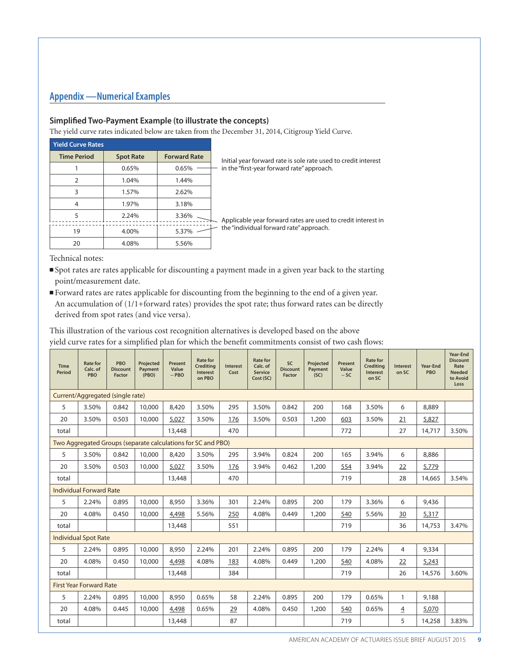# **Appendix —Numerical Examples**

#### **Simplified Two-Payment Example (to illustrate the concepts)**

The yield curve rates indicated below are taken from the December 31, 2014, Citigroup Yield Curve.

| <b>Yield Curve Rates</b> |                  |                     |                                                                |  |  |  |  |
|--------------------------|------------------|---------------------|----------------------------------------------------------------|--|--|--|--|
| <b>Time Period</b>       | <b>Spot Rate</b> | <b>Forward Rate</b> | Initial year forward rate is sole rate used to credit interest |  |  |  |  |
|                          | 0.65%            | 0.65%               | in the "first-year forward rate" approach.                     |  |  |  |  |
|                          | 1.04%            | 1.44%               |                                                                |  |  |  |  |
| 3                        | 1.57%            | 2.62%               |                                                                |  |  |  |  |
| 4                        | 1.97%            | 3.18%               |                                                                |  |  |  |  |
| 5                        | 2.24%            | 3.36%               | Applicable year forward rates are used to credit interest in   |  |  |  |  |
| 19                       | 4.00%            | 5.37%               | the "individual forward rate" approach.                        |  |  |  |  |
| 20                       | 4.08%            | 5.56%               |                                                                |  |  |  |  |

Technical notes:

- ■Spot rates are rates applicable for discounting a payment made in a given year back to the starting point/measurement date.
- <sup>n</sup>Forward rates are rates applicable for discounting from the beginning to the end of a given year. An accumulation of (1/1+forward rates) provides the spot rate; thus forward rates can be directly derived from spot rates (and vice versa).

This illustration of the various cost recognition alternatives is developed based on the above yield curve rates for a simplified plan for which the benefit commitments consist of two cash flows:

| <b>Time</b><br><b>Period</b>   | <b>Rate for</b><br>Calc. of<br><b>PBO</b>                    | <b>PBO</b><br><b>Discount</b><br><b>Factor</b> | Projected<br>Payment<br>(PBO) | <b>Present</b><br>Value<br>$-$ PBO | <b>Rate for</b><br><b>Crediting</b><br><b>Interest</b><br>on PBO | <b>Interest</b><br>Cost | <b>Rate for</b><br>Calc. of<br><b>Service</b><br>Cost (SC) | <b>SC</b><br><b>Discount</b><br><b>Factor</b> | Projected<br>Payment<br>(SC) | Present<br>Value<br>$-SC$ | <b>Rate for</b><br><b>Crediting</b><br><b>Interest</b><br>on SC | <b>Interest</b><br>on SC | <b>Year-End</b><br><b>PBO</b> | Year-End<br><b>Discount</b><br>Rate<br><b>Needed</b><br>to Avoid<br>Loss |
|--------------------------------|--------------------------------------------------------------|------------------------------------------------|-------------------------------|------------------------------------|------------------------------------------------------------------|-------------------------|------------------------------------------------------------|-----------------------------------------------|------------------------------|---------------------------|-----------------------------------------------------------------|--------------------------|-------------------------------|--------------------------------------------------------------------------|
|                                | Current/Aggregated (single rate)                             |                                                |                               |                                    |                                                                  |                         |                                                            |                                               |                              |                           |                                                                 |                          |                               |                                                                          |
| 5                              | 3.50%                                                        | 0.842                                          | 10,000                        | 8,420                              | 3.50%                                                            | 295                     | 3.50%                                                      | 0.842                                         | 200                          | 168                       | 3.50%                                                           | 6                        | 8,889                         |                                                                          |
| 20                             | 3.50%                                                        | 0.503                                          | 10,000                        | 5,027                              | 3.50%                                                            | 176                     | 3.50%                                                      | 0.503                                         | 1,200                        | 603                       | 3.50%                                                           | 21                       | 5,827                         |                                                                          |
| total                          |                                                              |                                                |                               | 13,448                             |                                                                  | 470                     |                                                            |                                               |                              | 772                       |                                                                 | 27                       | 14,717                        | 3.50%                                                                    |
|                                | Two Aggregated Groups (separate calculations for SC and PBO) |                                                |                               |                                    |                                                                  |                         |                                                            |                                               |                              |                           |                                                                 |                          |                               |                                                                          |
| 5                              | 3.50%                                                        | 0.842                                          | 10,000                        | 8,420                              | 3.50%                                                            | 295                     | 3.94%                                                      | 0.824                                         | 200                          | 165                       | 3.94%                                                           | 6                        | 8,886                         |                                                                          |
| 20                             | 3.50%                                                        | 0.503                                          | 10,000                        | 5,027                              | 3.50%                                                            | 176                     | 3.94%                                                      | 0.462                                         | 1,200                        | 554                       | 3.94%                                                           | 22                       | 5,779                         |                                                                          |
| total                          |                                                              |                                                |                               | 13,448                             |                                                                  | 470                     |                                                            |                                               |                              | 719                       |                                                                 | 28                       | 14,665                        | 3.54%                                                                    |
|                                | <b>Individual Forward Rate</b>                               |                                                |                               |                                    |                                                                  |                         |                                                            |                                               |                              |                           |                                                                 |                          |                               |                                                                          |
| 5                              | 2.24%                                                        | 0.895                                          | 10,000                        | 8,950                              | 3.36%                                                            | 301                     | 2.24%                                                      | 0.895                                         | 200                          | 179                       | 3.36%                                                           | 6                        | 9,436                         |                                                                          |
| 20                             | 4.08%                                                        | 0.450                                          | 10,000                        | 4,498                              | 5.56%                                                            | 250                     | 4.08%                                                      | 0.449                                         | 1,200                        | 540                       | 5.56%                                                           | 30                       | 5,317                         |                                                                          |
| total                          |                                                              |                                                |                               | 13,448                             |                                                                  | 551                     |                                                            |                                               |                              | 719                       |                                                                 | 36                       | 14,753                        | 3.47%                                                                    |
|                                | <b>Individual Spot Rate</b>                                  |                                                |                               |                                    |                                                                  |                         |                                                            |                                               |                              |                           |                                                                 |                          |                               |                                                                          |
| 5                              | 2.24%                                                        | 0.895                                          | 10,000                        | 8,950                              | 2.24%                                                            | 201                     | 2.24%                                                      | 0.895                                         | 200                          | 179                       | 2.24%                                                           | 4                        | 9,334                         |                                                                          |
| 20                             | 4.08%                                                        | 0.450                                          | 10,000                        | 4,498                              | 4.08%                                                            | 183                     | 4.08%                                                      | 0.449                                         | 1,200                        | 540                       | 4.08%                                                           | 22                       | 5,243                         |                                                                          |
| total                          |                                                              |                                                |                               | 13,448                             |                                                                  | 384                     |                                                            |                                               |                              | 719                       |                                                                 | 26                       | 14,576                        | 3.60%                                                                    |
| <b>First Year Forward Rate</b> |                                                              |                                                |                               |                                    |                                                                  |                         |                                                            |                                               |                              |                           |                                                                 |                          |                               |                                                                          |
| 5                              | 2.24%                                                        | 0.895                                          | 10,000                        | 8,950                              | 0.65%                                                            | 58                      | 2.24%                                                      | 0.895                                         | 200                          | 179                       | 0.65%                                                           | $\mathbf{1}$             | 9,188                         |                                                                          |
| 20                             | 4.08%                                                        | 0.445                                          | 10,000                        | 4,498                              | 0.65%                                                            | 29                      | 4.08%                                                      | 0.450                                         | 1,200                        | 540                       | 0.65%                                                           | $\overline{4}$           | 5,070                         |                                                                          |
| total                          |                                                              |                                                |                               | 13,448                             |                                                                  | 87                      |                                                            |                                               |                              | 719                       |                                                                 | 5                        | 14,258                        | 3.83%                                                                    |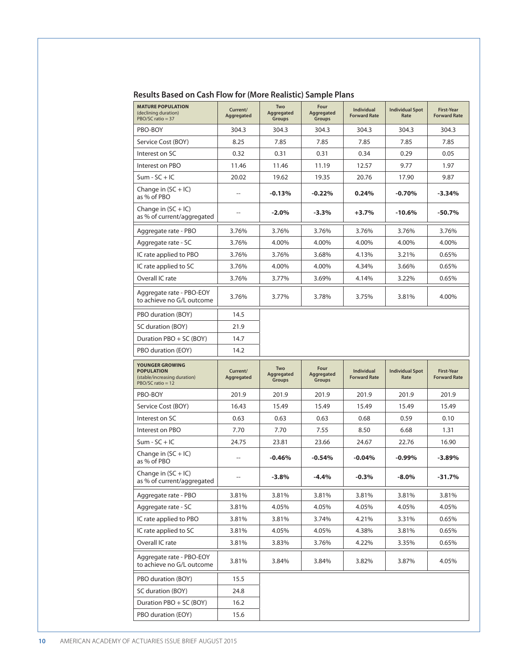| <b>MATURE POPULATION</b><br>(declining duration)<br>$PBO/SC$ ratio = 37                     | Current/<br>Aggregated   | Two<br>Aggregated<br><b>Groups</b> | Four<br>Aggregated<br><b>Groups</b> | Individual<br><b>Forward Rate</b>        | <b>Individual Spot</b><br>Rate | <b>First-Year</b><br><b>Forward Rate</b> |
|---------------------------------------------------------------------------------------------|--------------------------|------------------------------------|-------------------------------------|------------------------------------------|--------------------------------|------------------------------------------|
| PBO-BOY                                                                                     | 304.3                    | 304.3                              | 304.3                               | 304.3                                    | 304.3                          | 304.3                                    |
| Service Cost (BOY)                                                                          | 8.25                     | 7.85                               | 7.85                                | 7.85                                     | 7.85                           | 7.85                                     |
| Interest on SC                                                                              | 0.32                     | 0.31                               | 0.31                                | 0.34                                     | 0.29                           | 0.05                                     |
| Interest on PBO                                                                             | 11.46                    | 11.46                              | 11.19                               | 12.57                                    | 9.77                           | 1.97                                     |
| $Sum - SC + IC$                                                                             | 20.02                    | 19.62                              | 19.35                               | 20.76                                    | 17.90                          | 9.87                                     |
| Change in $(SC + IC)$<br>as % of PBO                                                        | $\overline{a}$           | $-0.13%$                           | $-0.22%$                            | 0.24%                                    | $-0.70%$                       | $-3.34%$                                 |
| Change in $(SC + IC)$<br>as % of current/aggregated                                         | $\overline{\phantom{a}}$ | $-2.0%$                            | -3.3%                               | +3.7%                                    | $-10.6%$                       | $-50.7\%$                                |
| Aggregate rate - PBO                                                                        | 3.76%                    | 3.76%                              | 3.76%                               | 3.76%                                    | 3.76%                          | 3.76%                                    |
| Aggregate rate - SC                                                                         | 3.76%                    | 4.00%                              | 4.00%                               | 4.00%                                    | 4.00%                          | 4.00%                                    |
| IC rate applied to PBO                                                                      | 3.76%                    | 3.76%                              | 3.68%                               | 4.13%                                    | 3.21%                          | 0.65%                                    |
| IC rate applied to SC                                                                       | 3.76%                    | 4.00%                              | 4.00%                               | 4.34%                                    | 3.66%                          | 0.65%                                    |
| Overall IC rate                                                                             | 3.76%                    | 3.77%                              | 3.69%                               | 4.14%                                    | 3.22%                          | 0.65%                                    |
| Aggregate rate - PBO-EOY<br>to achieve no G/L outcome                                       | 3.76%                    | 3.77%                              | 3.78%                               | 3.75%                                    | 3.81%                          | 4.00%                                    |
| PBO duration (BOY)                                                                          | 14.5                     |                                    |                                     |                                          |                                |                                          |
| SC duration (BOY)                                                                           | 21.9                     |                                    |                                     |                                          |                                |                                          |
| Duration PBO + SC (BOY)                                                                     | 14.7                     |                                    |                                     |                                          |                                |                                          |
| PBO duration (EOY)                                                                          | 14.2                     |                                    |                                     |                                          |                                |                                          |
| YOUNGER GROWING<br><b>POPULATION</b><br>(stable/increasing duration)<br>$PBO/SC$ ratio = 12 | Current/<br>Aggregated   | Two<br>Aggregated<br><b>Groups</b> | Four<br>Aggregated<br><b>Groups</b> | <b>Individual</b><br><b>Forward Rate</b> | <b>Individual Spot</b><br>Rate | <b>First-Year</b><br><b>Forward Rate</b> |
|                                                                                             |                          | 201.9                              | 201.9                               | 201.9                                    | 201.9                          | 201.9                                    |
| PBO-BOY                                                                                     | 201.9                    |                                    |                                     |                                          |                                |                                          |
| Service Cost (BOY)                                                                          | 16.43                    | 15.49                              | 15.49                               | 15.49                                    | 15.49                          | 15.49                                    |
| Interest on SC                                                                              | 0.63                     | 0.63                               | 0.63                                | 0.68                                     | 0.59                           | 0.10                                     |
| Interest on PBO                                                                             | 7.70                     | 7.70                               | 7.55                                | 8.50                                     | 6.68                           | 1.31                                     |
| $Sum - SC + IC$                                                                             | 24.75                    | 23.81                              | 23.66                               | 24.67                                    | 22.76                          | 16.90                                    |
| Change in $(SC + IC)$<br>as % of PBO                                                        | $\overline{a}$           | $-0.46%$                           | $-0.54%$                            | $-0.04%$                                 | $-0.99\%$                      | $-3.89%$                                 |
| Change in $(SC + IC)$<br>as % of current/aggregated                                         | $\overline{a}$           | $-3.8%$                            | $-4.4%$                             | $-0.3%$                                  | $-8.0%$                        | $-31.7%$                                 |
| Aggregate rate - PBO                                                                        | 3.81%                    | 3.81%                              | 3.81%                               | 3.81%                                    | 3.81%                          | 3.81%                                    |
| Aggregate rate - SC                                                                         | 3.81%                    | 4.05%                              | 4.05%                               | 4.05%                                    | 4.05%                          | 4.05%                                    |
| IC rate applied to PBO                                                                      | 3.81%                    | 3.81%                              | 3.74%                               | 4.21%                                    | 3.31%                          | 0.65%                                    |
| IC rate applied to SC                                                                       | 3.81%                    | 4.05%                              | 4.05%                               | 4.38%                                    | 3.81%                          | 0.65%                                    |
| Overall IC rate                                                                             | 3.81%                    | 3.83%                              | 3.76%                               | 4.22%                                    | 3.35%                          | 0.65%                                    |
| Aggregate rate - PBO-EOY<br>to achieve no G/L outcome                                       | 3.81%                    | 3.84%                              | 3.84%                               | 3.82%                                    | 3.87%                          | 4.05%                                    |
| PBO duration (BOY)                                                                          | 15.5                     |                                    |                                     |                                          |                                |                                          |
| SC duration (BOY)                                                                           | 24.8                     |                                    |                                     |                                          |                                |                                          |
| Duration PBO + SC (BOY)                                                                     | 16.2                     |                                    |                                     |                                          |                                |                                          |

**Results Based on Cash Flow for (More Realistic) Sample Plans**